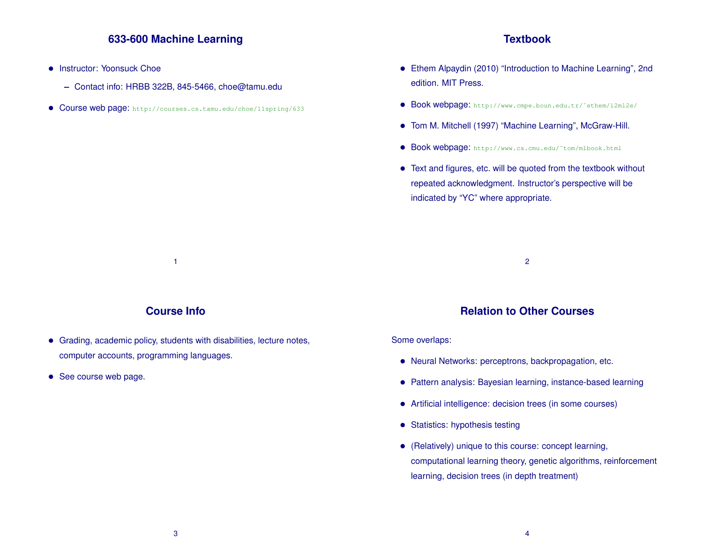## **633-600 Machine Learning**

- Instructor: Yoonsuck Choe
	- **–** Contact info: HRBB 322B, 845-5466, choe@tamu.edu
- Course web page: http://courses.cs.tamu.edu/choe/11spring/633

#### **Textbook**

- Ethem Alpaydin (2010) "Introduction to Machine Learning", 2nd edition. MIT Press.
- Book webpage: http://www.cmpe.boun.edu.tr/˜ethem/i2ml2e/
- Tom M. Mitchell (1997) "Machine Learning", McGraw-Hill.
- Book webpage: http://www.cs.cmu.edu/˜tom/mlbook.html
- Text and figures, etc. will be quoted from the textbook without repeated acknowledgment. Instructor's perspective will be indicated by "YC" where appropriate.

2

## **Course Info**

1

- Grading, academic policy, students with disabilities, lecture notes, computer accounts, programming languages.
- See course web page.

## **Relation to Other Courses**

#### Some overlaps:

- Neural Networks: perceptrons, backpropagation, etc.
- Pattern analysis: Bayesian learning, instance-based learning
- Artificial intelligence: decision trees (in some courses)
- Statistics: hypothesis testing
- (Relatively) unique to this course: concept learning, computational learning theory, genetic algorithms, reinforcement learning, decision trees (in depth treatment)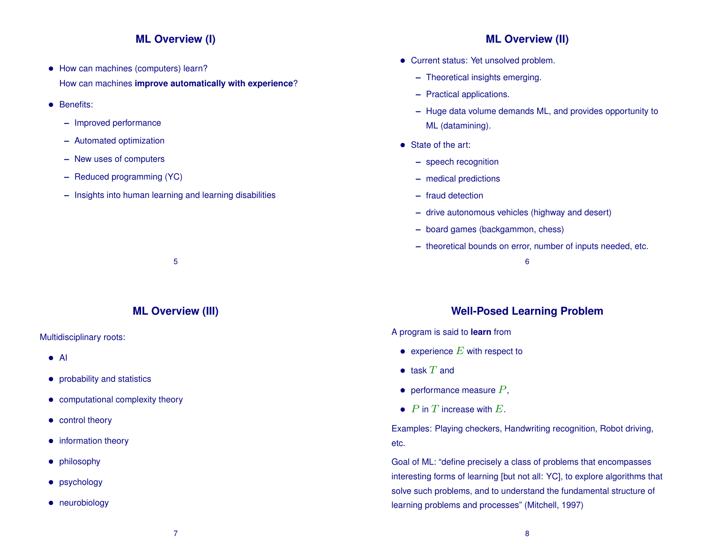## **ML Overview (I)**

- How can machines (computers) learn? How can machines **improve automatically with experience**?
- Benefits:
	- **–** Improved performance
	- **–** Automated optimization
	- **–** New uses of computers
	- **–** Reduced programming (YC)
	- **–** Insights into human learning and learning disabilities

5

## **ML Overview (II)**

- Current status: Yet unsolved problem.
	- **–** Theoretical insights emerging.
	- **–** Practical applications.
	- **–** Huge data volume demands ML, and provides opportunity to ML (datamining).
- State of the art:
	- **–** speech recognition
	- **–** medical predictions
	- **–** fraud detection
	- **–** drive autonomous vehicles (highway and desert)
	- **–** board games (backgammon, chess)
	- **–** theoretical bounds on error, number of inputs needed, etc.
		- 6

## **Well-Posed Learning Problem**

A program is said to **learn** from

- experience  $E$  with respect to
- $\bullet$  task  $T$  and
- performance measure  $P$ ,
- $P$  in  $T$  increase with  $E$ .

Examples: Playing checkers, Handwriting recognition, Robot driving, etc.

Goal of ML: "define precisely a class of problems that encompasses interesting forms of learning [but not all: YC], to explore algorithms that solve such problems, and to understand the fundamental structure of learning problems and processes" (Mitchell, 1997)

# **ML Overview (III)**

#### Multidisciplinary roots:

- AI
- probability and statistics
- computational complexity theory
- control theory
- information theory
- philosophy
- psychology
- neurobiology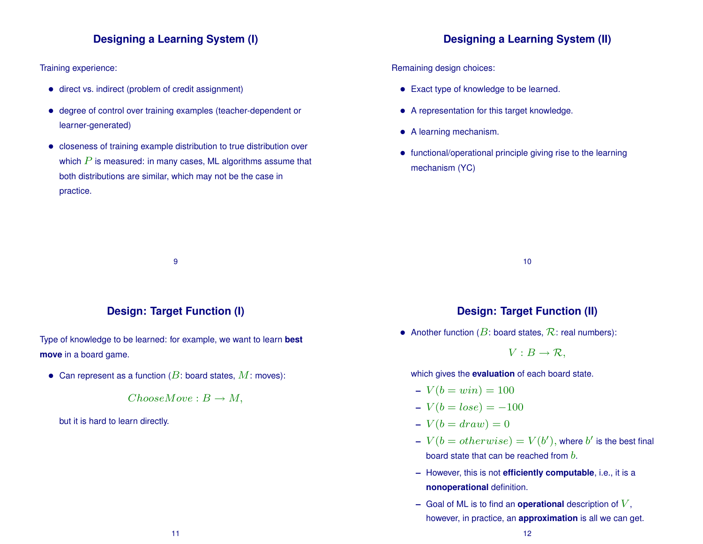## **Designing a Learning System (I)**

Training experience:

- direct vs. indirect (problem of credit assignment)
- degree of control over training examples (teacher-dependent or learner-generated)
- closeness of training example distribution to true distribution over which  $P$  is measured: in many cases, ML algorithms assume that both distributions are similar, which may not be the case in practice.

## **Designing a Learning System (II)**

Remaining design choices:

- Exact type of knowledge to be learned.
- A representation for this target knowledge.
- A learning mechanism.
- functional/operational principle giving rise to the learning mechanism (YC)

10

#### **Design: Target Function (I)**

9

Type of knowledge to be learned: for example, we want to learn **best move** in a board game.

• Can represent as a function ( $B$ : board states,  $M$ : moves):

 $ChooseMove : B \rightarrow M$ ,

but it is hard to learn directly.

#### **Design: Target Function (II)**

• Another function ( $B$ : board states,  $\mathcal{R}$ : real numbers):

 $V : B \to \mathcal{R}$ ,

which gives the **evaluation** of each board state.

- $-V(b = win) = 100$
- $-V(b = lose) = -100$
- $-V(b = draw) = 0$
- $\begin{aligned} V(b = otherwise) = V(b'), \end{aligned}$  where  $b'$  is the best final board state that can be reached from  $b$ .
- **–** However, this is not **efficiently computable**, i.e., it is a **nonoperational** definition.
- **–** Goal of ML is to find an **operational** description of V , however, in practice, an **approximation** is all we can get.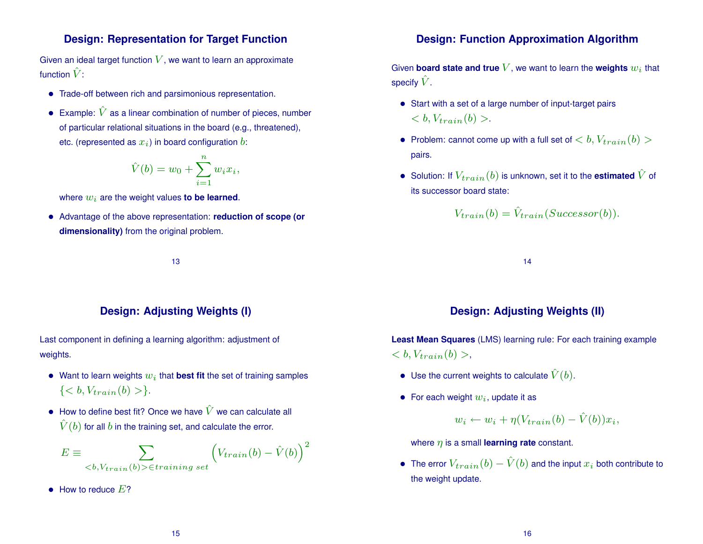### **Design: Representation for Target Function**

Given an ideal target function  $V$ , we want to learn an approximate function  $\hat{V}$ :

- Trade-off between rich and parsimonious representation.
- Example:  $\hat{V}$  as a linear combination of number of pieces, number of particular relational situations in the board (e.g., threatened), etc. (represented as  $x_i$ ) in board configuration b:

$$
\hat{V}(b) = w_0 + \sum_{i=1}^n w_i x_i,
$$

where  $w_i$  are the weight values **to be learned**.

• Advantage of the above representation: **reduction of scope (or dimensionality)** from the original problem.

13

## **Design: Adjusting Weights (I)**

Last component in defining a learning algorithm: adjustment of weights.

- Want to learn weights  $w_i$  that **best fit** the set of training samples  $\{ < b, V_{train}(b) > \}.$
- How to define best fit? Once we have  $\hat{V}$  we can calculate all  $\hat{V}(b)$  for all b in the training set, and calculate the error.

$$
E \equiv \sum_{\langle b, V_{train}(b) \rangle \in training \ set} \left( V_{train}(b) - \hat{V}(b) \right)^2
$$

 $\bullet$  How to reduce  $E$ ?

### **Design: Function Approximation Algorithm**

Given **board state and true**  $V$ , we want to learn the **weights**  $w_i$  that specify  $\hat{V}$ .

- Start with a set of a large number of input-target pairs  $$
- Problem: cannot come up with a full set of **,**  $V_{train}(b)$ pairs.
- Solution: If  $V_{train}(b)$  is unknown, set it to the **estimated**  $\hat{V}$  of its successor board state:

$$
V_{train}(b) = \hat{V}_{train}(Successor(b)).
$$

14

## **Design: Adjusting Weights (II)**

**Least Mean Squares** (LMS) learning rule: For each training example  $,$ 

- Use the current weights to calculate  $\hat{V}(b)$ .
- For each weight  $w_i$ , update it as

$$
w_i \leftarrow w_i + \eta(V_{train}(b) - \hat{V}(b))x_i,
$$

where  $\eta$  is a small **learning rate** constant.

• The error  $V_{train}(b) - \hat{V}(b)$  and the input  $x_i$  both contribute to the weight update.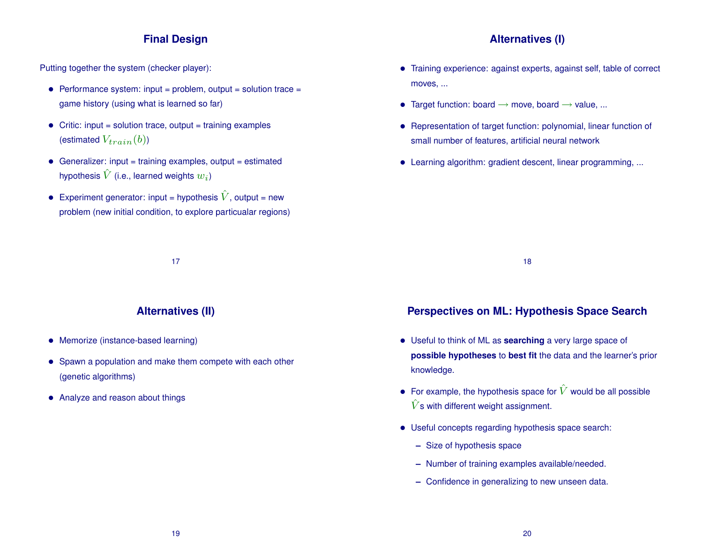## **Final Design**

Putting together the system (checker player):

- Performance system:  $input = problem$ ,  $output = solution trace =$ game history (using what is learned so far)
- Critic: input = solution trace, output = training examples (estimated  $V_{train}(b)$ )
- $\bullet$  Generalizer: input = training examples, output = estimated hypothesis  $\hat{V}$  (i.e., learned weights  $w_i$ )
- Experiment generator: input = hypothesis  $\hat{V}$ , output = new problem (new initial condition, to explore particualar regions)

## **Alternatives (I)**

- Training experience: against experts, against self, table of correct moves, ...
- Target function: board  $\rightarrow$  move, board  $\rightarrow$  value, ...
- Representation of target function: polynomial, linear function of small number of features, artificial neural network
- Learning algorithm: gradient descent, linear programming, ...

18

## **Alternatives (II)**

17

- Memorize (instance-based learning)
- Spawn a population and make them compete with each other (genetic algorithms)
- Analyze and reason about things

## **Perspectives on ML: Hypothesis Space Search**

- Useful to think of ML as **searching** a very large space of **possible hypotheses** to **best fit** the data and the learner's prior knowledge.
- For example, the hypothesis space for  $\hat{V}$  would be all possible  $\hat{V}$ s with different weight assignment.
- Useful concepts regarding hypothesis space search:
	- **–** Size of hypothesis space
	- **–** Number of training examples available/needed.
	- **–** Confidence in generalizing to new unseen data.